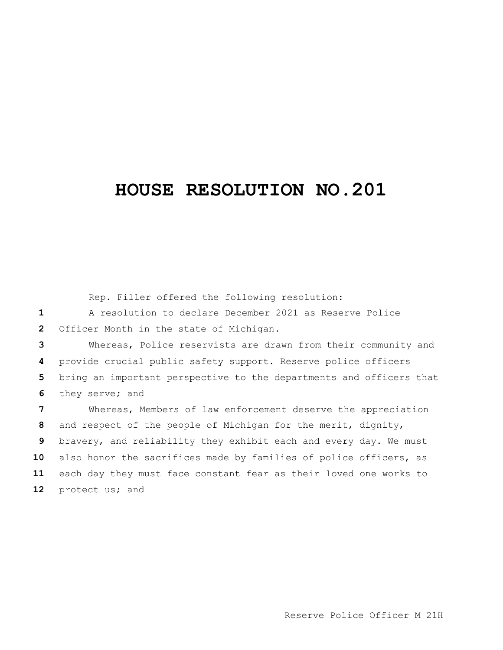## **HOUSE RESOLUTION NO.201**

Rep. Filler offered the following resolution:

 A resolution to declare December 2021 as Reserve Police Officer Month in the state of Michigan.

 Whereas, Police reservists are drawn from their community and provide crucial public safety support. Reserve police officers bring an important perspective to the departments and officers that they serve; and

 Whereas, Members of law enforcement deserve the appreciation and respect of the people of Michigan for the merit, dignity, bravery, and reliability they exhibit each and every day. We must also honor the sacrifices made by families of police officers, as each day they must face constant fear as their loved one works to protect us; and